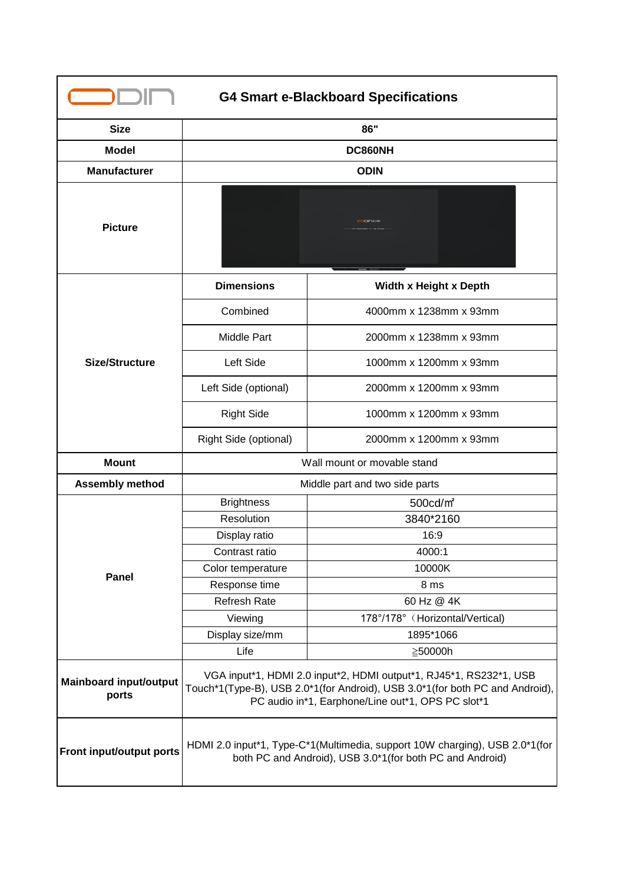| <b>G4 Smart e-Blackboard Specifications</b> |                                                                                                                                                                                                         |                                 |  |
|---------------------------------------------|---------------------------------------------------------------------------------------------------------------------------------------------------------------------------------------------------------|---------------------------------|--|
| <b>Size</b>                                 | 86"                                                                                                                                                                                                     |                                 |  |
| <b>Model</b>                                | DC860NH                                                                                                                                                                                                 |                                 |  |
| <b>Manufacturer</b>                         | <b>ODIN</b>                                                                                                                                                                                             |                                 |  |
| <b>Picture</b>                              | CODENSER                                                                                                                                                                                                |                                 |  |
| <b>Size/Structure</b>                       | <b>Dimensions</b>                                                                                                                                                                                       | Width x Height x Depth          |  |
|                                             | Combined                                                                                                                                                                                                | 4000mm x 1238mm x 93mm          |  |
|                                             | Middle Part                                                                                                                                                                                             | 2000mm x 1238mm x 93mm          |  |
|                                             | Left Side                                                                                                                                                                                               | 1000mm x 1200mm x 93mm          |  |
|                                             | Left Side (optional)                                                                                                                                                                                    | 2000mm x 1200mm x 93mm          |  |
|                                             | <b>Right Side</b>                                                                                                                                                                                       | 1000mm x 1200mm x 93mm          |  |
|                                             | Right Side (optional)                                                                                                                                                                                   | 2000mm x 1200mm x 93mm          |  |
| <b>Mount</b>                                | Wall mount or movable stand                                                                                                                                                                             |                                 |  |
| <b>Assembly method</b>                      | Middle part and two side parts                                                                                                                                                                          |                                 |  |
|                                             | <b>Brightness</b>                                                                                                                                                                                       | 500cd/m <sup>2</sup>            |  |
|                                             | Resolution                                                                                                                                                                                              | 3840*2160                       |  |
|                                             | Display ratio                                                                                                                                                                                           | 16:9                            |  |
|                                             | Contrast ratio                                                                                                                                                                                          | 4000:1                          |  |
| Panel                                       | Color temperature                                                                                                                                                                                       | 10000K                          |  |
|                                             | Response time                                                                                                                                                                                           | 8 ms                            |  |
|                                             | <b>Refresh Rate</b>                                                                                                                                                                                     | 60 Hz @ 4K                      |  |
|                                             | Viewing                                                                                                                                                                                                 | 178°/178° (Horizontal/Vertical) |  |
|                                             | Display size/mm                                                                                                                                                                                         | 1895*1066                       |  |
|                                             | Life                                                                                                                                                                                                    | ≧50000h                         |  |
| <b>Mainboard input/output</b><br>ports      | VGA input*1, HDMI 2.0 input*2, HDMI output*1, RJ45*1, RS232*1, USB<br>Touch*1(Type-B), USB 2.0*1(for Android), USB 3.0*1(for both PC and Android),<br>PC audio in*1, Earphone/Line out*1, OPS PC slot*1 |                                 |  |
| Front input/output ports                    | HDMI 2.0 input*1, Type-C*1(Multimedia, support 10W charging), USB 2.0*1(for<br>both PC and Android), USB 3.0*1(for both PC and Android)                                                                 |                                 |  |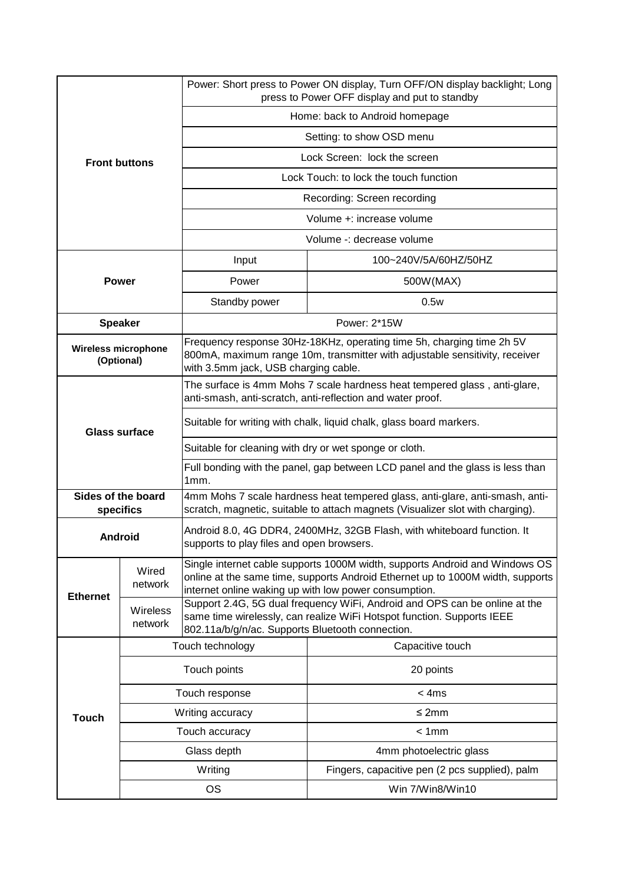| <b>Front buttons</b>            |                                                                                                                                                                                                                                          | Power: Short press to Power ON display, Turn OFF/ON display backlight; Long<br>press to Power OFF display and put to standby                                                                                           |                                                |  |
|---------------------------------|------------------------------------------------------------------------------------------------------------------------------------------------------------------------------------------------------------------------------------------|------------------------------------------------------------------------------------------------------------------------------------------------------------------------------------------------------------------------|------------------------------------------------|--|
|                                 |                                                                                                                                                                                                                                          | Home: back to Android homepage                                                                                                                                                                                         |                                                |  |
|                                 |                                                                                                                                                                                                                                          | Setting: to show OSD menu                                                                                                                                                                                              |                                                |  |
|                                 |                                                                                                                                                                                                                                          | Lock Screen: lock the screen                                                                                                                                                                                           |                                                |  |
|                                 |                                                                                                                                                                                                                                          | Lock Touch: to lock the touch function                                                                                                                                                                                 |                                                |  |
|                                 |                                                                                                                                                                                                                                          | Recording: Screen recording                                                                                                                                                                                            |                                                |  |
|                                 |                                                                                                                                                                                                                                          | Volume +: increase volume                                                                                                                                                                                              |                                                |  |
|                                 |                                                                                                                                                                                                                                          | Volume -: decrease volume                                                                                                                                                                                              |                                                |  |
|                                 |                                                                                                                                                                                                                                          | Input                                                                                                                                                                                                                  | 100~240V/5A/60HZ/50HZ                          |  |
|                                 | <b>Power</b>                                                                                                                                                                                                                             | Power                                                                                                                                                                                                                  | 500W(MAX)                                      |  |
|                                 |                                                                                                                                                                                                                                          | Standby power                                                                                                                                                                                                          | 0.5w                                           |  |
| <b>Speaker</b>                  |                                                                                                                                                                                                                                          | Power: 2*15W                                                                                                                                                                                                           |                                                |  |
|                                 | Frequency response 30Hz-18KHz, operating time 5h, charging time 2h 5V<br><b>Wireless microphone</b><br>800mA, maximum range 10m, transmitter with adjustable sensitivity, receiver<br>(Optional)<br>with 3.5mm jack, USB charging cable. |                                                                                                                                                                                                                        |                                                |  |
| <b>Glass surface</b>            |                                                                                                                                                                                                                                          | The surface is 4mm Mohs 7 scale hardness heat tempered glass, anti-glare,<br>anti-smash, anti-scratch, anti-reflection and water proof.                                                                                |                                                |  |
|                                 |                                                                                                                                                                                                                                          | Suitable for writing with chalk, liquid chalk, glass board markers.                                                                                                                                                    |                                                |  |
|                                 |                                                                                                                                                                                                                                          | Suitable for cleaning with dry or wet sponge or cloth.                                                                                                                                                                 |                                                |  |
|                                 |                                                                                                                                                                                                                                          | Full bonding with the panel, gap between LCD panel and the glass is less than<br>1mm.                                                                                                                                  |                                                |  |
| Sides of the board<br>specifics |                                                                                                                                                                                                                                          | 4mm Mohs 7 scale hardness heat tempered glass, anti-glare, anti-smash, anti-<br>scratch, magnetic, suitable to attach magnets (Visualizer slot with charging).                                                         |                                                |  |
| <b>Android</b>                  |                                                                                                                                                                                                                                          | Android 8.0, 4G DDR4, 2400MHz, 32GB Flash, with whiteboard function. It<br>supports to play files and open browsers.                                                                                                   |                                                |  |
| <b>Ethernet</b>                 | Wired<br>network                                                                                                                                                                                                                         | Single internet cable supports 1000M width, supports Android and Windows OS<br>online at the same time, supports Android Ethernet up to 1000M width, supports<br>internet online waking up with low power consumption. |                                                |  |
|                                 | Wireless<br>network                                                                                                                                                                                                                      | Support 2.4G, 5G dual frequency WiFi, Android and OPS can be online at the<br>same time wirelessly, can realize WiFi Hotspot function. Supports IEEE<br>802.11a/b/g/n/ac. Supports Bluetooth connection.               |                                                |  |
|                                 |                                                                                                                                                                                                                                          | Touch technology<br>Capacitive touch                                                                                                                                                                                   |                                                |  |
| <b>Touch</b>                    | Touch points                                                                                                                                                                                                                             |                                                                                                                                                                                                                        | 20 points                                      |  |
|                                 | Touch response                                                                                                                                                                                                                           |                                                                                                                                                                                                                        | $<$ 4ms                                        |  |
|                                 | Writing accuracy                                                                                                                                                                                                                         |                                                                                                                                                                                                                        | $\leq 2$ mm                                    |  |
|                                 | Touch accuracy                                                                                                                                                                                                                           |                                                                                                                                                                                                                        | < 1mm                                          |  |
|                                 | Glass depth                                                                                                                                                                                                                              |                                                                                                                                                                                                                        | 4mm photoelectric glass                        |  |
|                                 | Writing                                                                                                                                                                                                                                  |                                                                                                                                                                                                                        | Fingers, capacitive pen (2 pcs supplied), palm |  |
|                                 | <b>OS</b>                                                                                                                                                                                                                                |                                                                                                                                                                                                                        | Win 7/Win8/Win10                               |  |